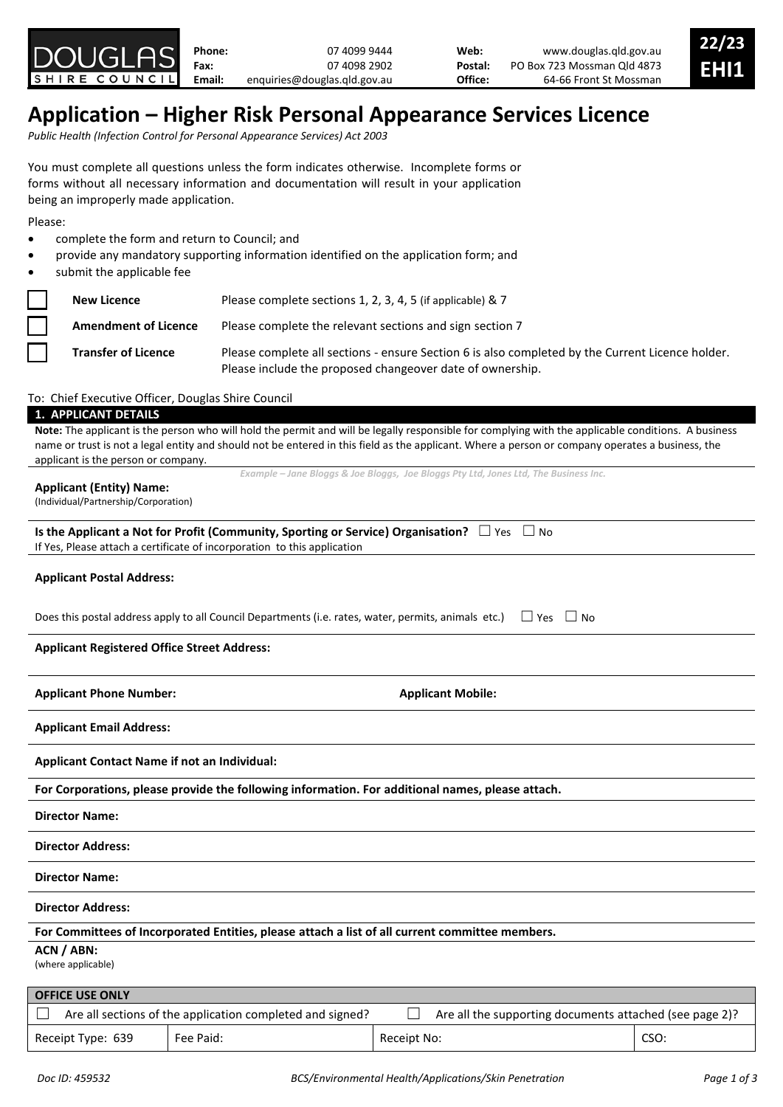

**Applicant Email Address:**

**Applicant Contact Name if not an Individual:**

**For Corporations, please provide the following information. For additional names, please attach.**

**Director Name:**

**Director Address:**

**Director Name:**

**Director Address:**

**For Committees of Incorporated Entities, please attach a list of all current committee members.**

# **ACN / ABN:**

(where applicable)

| <b>OFFICE USE ONLY</b> |                                                           |             |                                                         |      |  |
|------------------------|-----------------------------------------------------------|-------------|---------------------------------------------------------|------|--|
|                        | Are all sections of the application completed and signed? |             | Are all the supporting documents attached (see page 2)? |      |  |
| Receipt Type: 639      | Fee Paid:                                                 | Receipt No: |                                                         | CSO: |  |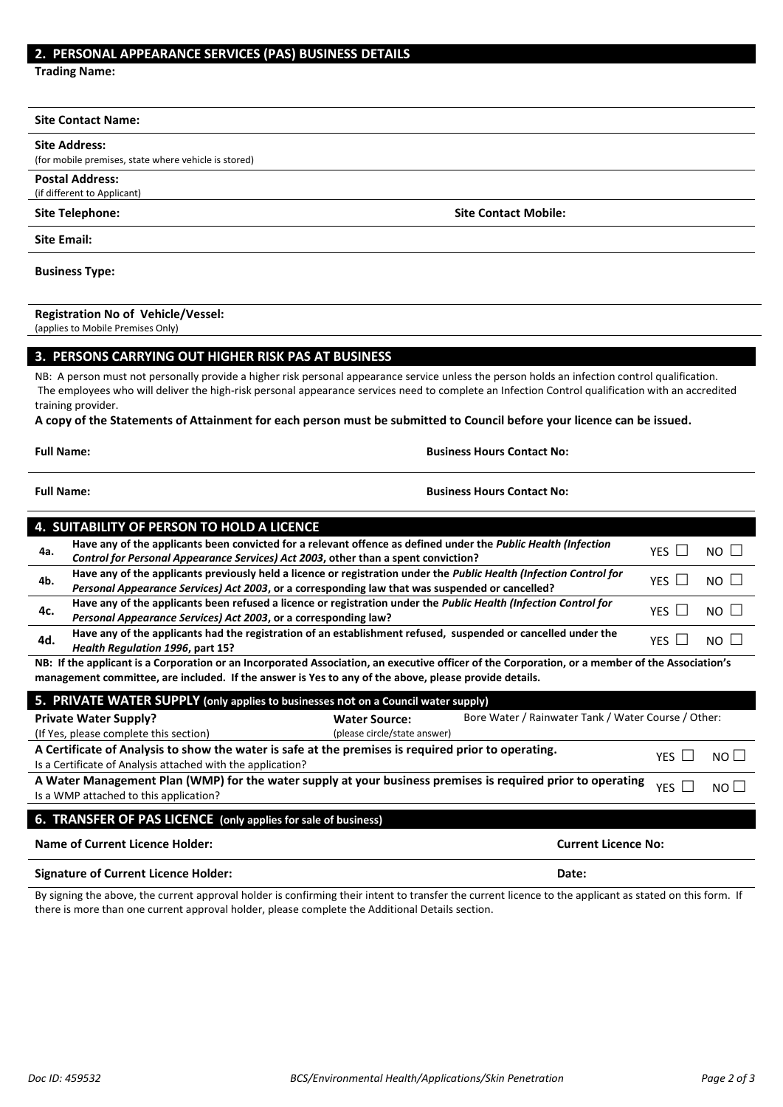## **2. PERSONAL APPEARANCE SERVICES (PAS) BUSINESS DETAILS**

**Trading Name:**

#### **Site Contact Name:**

### **Site Address:**

(for mobile premises, state where vehicle is stored)

**Postal Address:** (if different to Applicant)

**Site Email:**

#### **Business Type:**

## **Registration No of Vehicle/Vessel:**

(applies to Mobile Premises Only)

## **3. PERSONS CARRYING OUT HIGHER RISK PAS AT BUSINESS**

NB: A person must not personally provide a higher risk personal appearance service unless the person holds an infection control qualification. The employees who will deliver the high-risk personal appearance services need to complete an Infection Control qualification with an accredited training provider.

#### **A copy of the Statements of Attainment for each person must be submitted to Council before your licence can be issued.**

**Full Name: Business Hours Contact No:**

## **Full Name: Business Hours Contact No:**

| <b>4. SUITABILITY OF PERSON TO HOLD A LICENCE</b>                                                                                               |                                                                                                                     |            |                      |
|-------------------------------------------------------------------------------------------------------------------------------------------------|---------------------------------------------------------------------------------------------------------------------|------------|----------------------|
| 4a.                                                                                                                                             | Have any of the applicants been convicted for a relevant offence as defined under the Public Health (Infection      | <b>YFS</b> | $NO$ $\vert$ $\vert$ |
|                                                                                                                                                 | Control for Personal Appearance Services) Act 2003, other than a spent conviction?                                  |            |                      |
| 4b.                                                                                                                                             | Have any of the applicants previously held a licence or registration under the Public Health (Infection Control for |            | $NO$ $\parallel$     |
|                                                                                                                                                 | Personal Appearance Services) Act 2003, or a corresponding law that was suspended or cancelled?                     | YFS I I    |                      |
| 4c.                                                                                                                                             | Have any of the applicants been refused a licence or registration under the Public Health (Infection Control for    | YFS.       | $NO$ $\vert$ $\vert$ |
|                                                                                                                                                 | Personal Appearance Services) Act 2003, or a corresponding law?                                                     |            |                      |
| 4d.                                                                                                                                             | Have any of the applicants had the registration of an establishment refused, suspended or cancelled under the       | YFS        | $N$ $\cap$ $\perp$   |
|                                                                                                                                                 | Health Regulation 1996, part 15?                                                                                    |            |                      |
| NB: If the applicant is a Corporation or an Incorporated Association, an executive officer of the Corporation, or a member of the Association's |                                                                                                                     |            |                      |
| management committee, are included. If the answer is Yes to any of the above, please provide details.                                           |                                                                                                                     |            |                      |

| management committee, are included. If the answer is res to any or the above, please provide details.                        |                              |                                                     |  |  |  |
|------------------------------------------------------------------------------------------------------------------------------|------------------------------|-----------------------------------------------------|--|--|--|
| 5. PRIVATE WATER SUPPLY (only applies to businesses not on a Council water supply)                                           |                              |                                                     |  |  |  |
| <b>Private Water Supply?</b>                                                                                                 | <b>Water Source:</b>         | Bore Water / Rainwater Tank / Water Course / Other: |  |  |  |
| (If Yes, please complete this section)                                                                                       | (please circle/state answer) |                                                     |  |  |  |
| A Certificate of Analysis to show the water is safe at the premises is required prior to operating.<br>NO II<br>YFS I I      |                              |                                                     |  |  |  |
| Is a Certificate of Analysis attached with the application?                                                                  |                              |                                                     |  |  |  |
| A Water Management Plan (WMP) for the water supply at your business premises is required prior to operating<br>YFS.<br>NO II |                              |                                                     |  |  |  |
| Is a WMP attached to this application?                                                                                       |                              |                                                     |  |  |  |
|                                                                                                                              |                              |                                                     |  |  |  |
| 6. TRANSFER OF PAS LICENCE (only applies for sale of business)                                                               |                              |                                                     |  |  |  |

**Name of Current Licence Holder: Current Licence No: Signature of Current Licence Holder: Date:**

By signing the above, the current approval holder is confirming their intent to transfer the current licence to the applicant as stated on this form. If there is more than one current approval holder, please complete the Additional Details section.

**Site Telephone: Site Contact Mobile:**